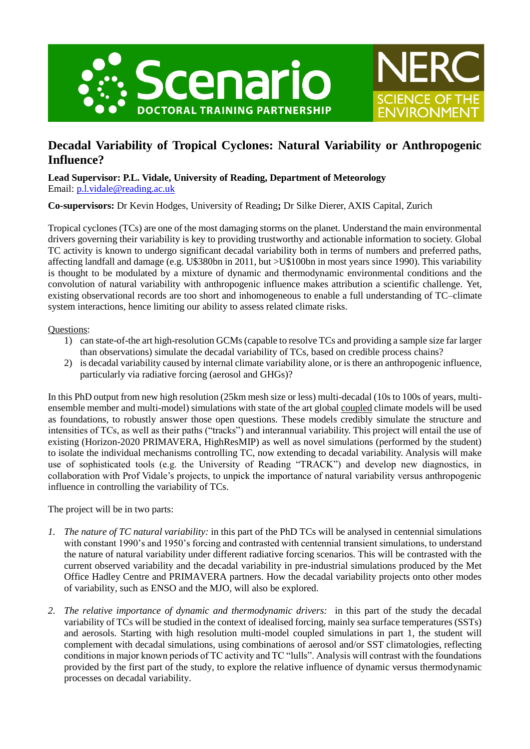



# **Decadal Variability of Tropical Cyclones: Natural Variability or Anthropogenic Influence?**

**Lead Supervisor: P.L. Vidale, University of Reading, Department of Meteorology** Email: [p.l.vidale@reading.ac.uk](mailto:p.l.vidale@reading.ac.uk)

**Co-supervisors:** Dr Kevin Hodges, University of Reading**;** Dr Silke Dierer, AXIS Capital, Zurich

Tropical cyclones (TCs) are one of the most damaging storms on the planet. Understand the main environmental drivers governing their variability is key to providing trustworthy and actionable information to society. Global TC activity is known to undergo significant decadal variability both in terms of numbers and preferred paths, affecting landfall and damage (e.g. U\$380bn in 2011, but >U\$100bn in most years since 1990). This variability is thought to be modulated by a mixture of dynamic and thermodynamic environmental conditions and the convolution of natural variability with anthropogenic influence makes attribution a scientific challenge. Yet, existing observational records are too short and inhomogeneous to enable a full understanding of TC–climate system interactions, hence limiting our ability to assess related climate risks.

## Questions:

- 1) can state-of-the art high-resolution GCMs (capable to resolve TCs and providing a sample size far larger than observations) simulate the decadal variability of TCs, based on credible process chains?
- 2) is decadal variability caused by internal climate variability alone, or is there an anthropogenic influence, particularly via radiative forcing (aerosol and GHGs)?

In this PhD output from new high resolution (25km mesh size or less) multi-decadal (10s to 100s of years, multiensemble member and multi-model) simulations with state of the art global coupled climate models will be used as foundations, to robustly answer those open questions. These models credibly simulate the structure and intensities of TCs, as well as their paths ("tracks") and interannual variability. This project will entail the use of existing (Horizon-2020 PRIMAVERA, HighResMIP) as well as novel simulations (performed by the student) to isolate the individual mechanisms controlling TC, now extending to decadal variability. Analysis will make use of sophisticated tools (e.g. the University of Reading "TRACK") and develop new diagnostics, in collaboration with Prof Vidale's projects, to unpick the importance of natural variability versus anthropogenic influence in controlling the variability of TCs.

The project will be in two parts:

- *1. The nature of TC natural variability:* in this part of the PhD TCs will be analysed in centennial simulations with constant 1990's and 1950's forcing and contrasted with centennial transient simulations, to understand the nature of natural variability under different radiative forcing scenarios. This will be contrasted with the current observed variability and the decadal variability in pre-industrial simulations produced by the Met Office Hadley Centre and PRIMAVERA partners. How the decadal variability projects onto other modes of variability, such as ENSO and the MJO, will also be explored.
- *2. The relative importance of dynamic and thermodynamic drivers:* in this part of the study the decadal variability of TCs will be studied in the context of idealised forcing, mainly sea surface temperatures (SSTs) and aerosols. Starting with high resolution multi-model coupled simulations in part 1, the student will complement with decadal simulations, using combinations of aerosol and/or SST climatologies, reflecting conditions in major known periods of TC activity and TC "lulls". Analysis will contrast with the foundations provided by the first part of the study, to explore the relative influence of dynamic versus thermodynamic processes on decadal variability.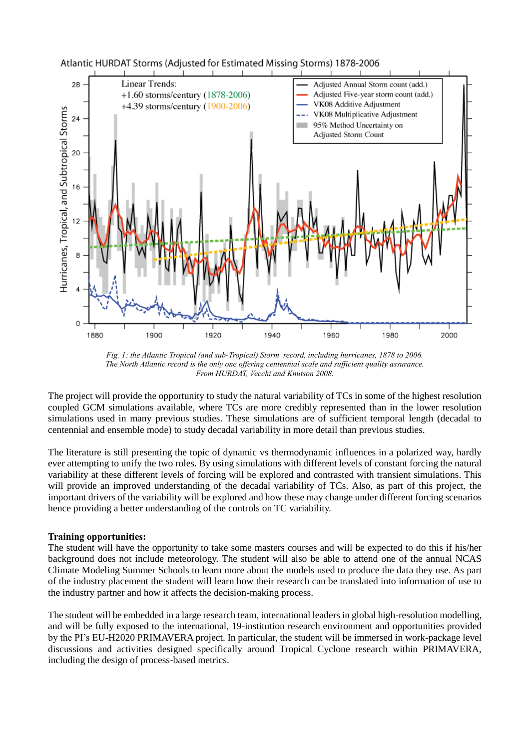

*Fig. 1: the Atlantic Tropical (and sub-Tropical) Storm record, including hurricanes, 1878 to 2006. The North Atlantic record is the only one offering centennial scale and sufficient quality assurance. From HURDAT, Vecchi and Knutson 2008.*

The project will provide the opportunity to study the natural variability of TCs in some of the highest resolution coupled GCM simulations available, where TCs are more credibly represented than in the lower resolution simulations used in many previous studies. These simulations are of sufficient temporal length (decadal to centennial and ensemble mode) to study decadal variability in more detail than previous studies.

The literature is still presenting the topic of dynamic vs thermodynamic influences in a polarized way, hardly ever attempting to unify the two roles. By using simulations with different levels of constant forcing the natural variability at these different levels of forcing will be explored and contrasted with transient simulations. This will provide an improved understanding of the decadal variability of TCs. Also, as part of this project, the important drivers of the variability will be explored and how these may change under different forcing scenarios hence providing a better understanding of the controls on TC variability.

## **Training opportunities:**

The student will have the opportunity to take some masters courses and will be expected to do this if his/her background does not include meteorology. The student will also be able to attend one of the annual NCAS Climate Modeling Summer Schools to learn more about the models used to produce the data they use. As part of the industry placement the student will learn how their research can be translated into information of use to the industry partner and how it affects the decision-making process.

The student will be embedded in a large research team, international leaders in global high-resolution modelling, and will be fully exposed to the international, 19-institution research environment and opportunities provided by the PI's EU-H2020 PRIMAVERA project. In particular, the student will be immersed in work-package level discussions and activities designed specifically around Tropical Cyclone research within PRIMAVERA, including the design of process-based metrics.